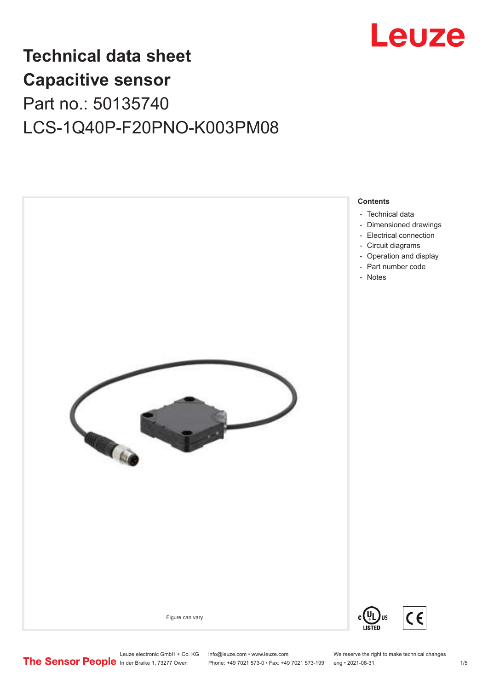

## **Technical data sheet Capacitive sensor** Part no.: 50135740 LCS-1Q40P-F20PNO-K003PM08



Phone: +49 7021 573-0 • Fax: +49 7021 573-199 eng • 2021-08-31 1 1 7 = 1/5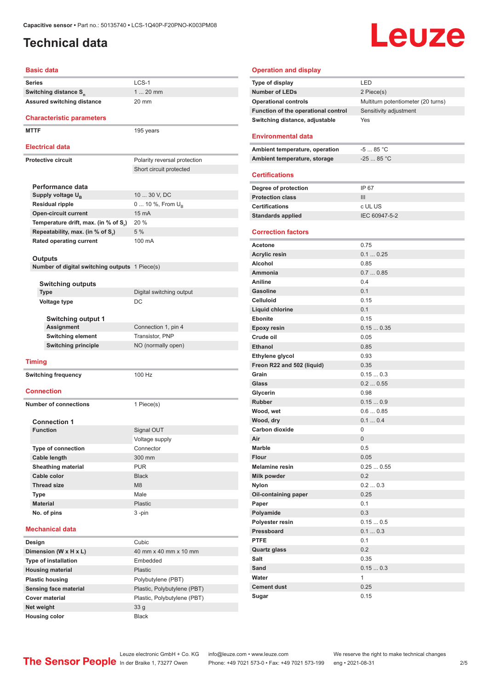### <span id="page-1-0"></span>**Technical data**

# **Leuze**

#### **Basic data**

| Daəit uata                                        |                              |
|---------------------------------------------------|------------------------------|
| <b>Series</b>                                     | LCS-1                        |
| Switching distance S <sub>n</sub>                 | $120$ mm                     |
| <b>Assured switching distance</b>                 | 20 mm                        |
| <b>Characteristic parameters</b>                  |                              |
| <b>MTTF</b>                                       |                              |
|                                                   | 195 years                    |
| <b>Electrical data</b>                            |                              |
| <b>Protective circuit</b>                         | Polarity reversal protection |
|                                                   | Short circuit protected      |
|                                                   |                              |
| Performance data                                  |                              |
| Supply voltage U <sub>B</sub>                     | 10  30 V, DC                 |
| <b>Residual ripple</b>                            | 0  10 %, From $U_{\rm B}$    |
| <b>Open-circuit current</b>                       | 15 mA                        |
| Temperature drift, max. (in % of S <sub>r</sub> ) | 20 %                         |
| Repeatability, max. (in % of S.)                  | 5 %                          |
| <b>Rated operating current</b>                    | 100 mA                       |
|                                                   |                              |
| Outputs                                           |                              |
| Number of digital switching outputs 1 Piece(s)    |                              |
|                                                   |                              |
| <b>Switching outputs</b>                          |                              |
| <b>Type</b>                                       | Digital switching output     |
| Voltage type                                      | DC                           |
|                                                   |                              |
| <b>Switching output 1</b>                         |                              |
| <b>Assignment</b>                                 | Connection 1, pin 4          |
| <b>Switching element</b>                          | Transistor, PNP              |
| <b>Switching principle</b>                        | NO (normally open)           |
| <b>Timing</b>                                     |                              |
|                                                   |                              |
| <b>Switching frequency</b>                        | 100 Hz                       |
| <b>Connection</b>                                 |                              |
| <b>Number of connections</b>                      |                              |
|                                                   | 1 Piece(s)                   |
| <b>Connection 1</b>                               |                              |
| <b>Function</b>                                   | Signal OUT                   |
|                                                   | Voltage supply               |
| Type of connection                                | Connector                    |
| Cable length                                      | 300 mm                       |
| <b>Sheathing material</b>                         | <b>PUR</b>                   |
| Cable color                                       | <b>Black</b>                 |
| <b>Thread size</b>                                | M <sub>8</sub>               |
|                                                   |                              |
| Type                                              | Male                         |
| <b>Material</b>                                   | Plastic                      |
| No. of pins                                       | $3 - pin$                    |
| <b>Mechanical data</b>                            |                              |
| Design                                            | Cubic                        |
| Dimension (W x H x L)                             | 40 mm x 40 mm x 10 mm        |
| <b>Type of installation</b>                       | Embedded                     |
| <b>Housing material</b>                           | <b>Plastic</b>               |
| <b>Plastic housing</b>                            | Polybutylene (PBT)           |
| Sensing face material                             | Plastic, Polybutylene (PBT)  |
| <b>Cover material</b>                             | Plastic, Polybutylene (PBT)  |
| Net weight                                        | 33 <sub>g</sub>              |
|                                                   |                              |

#### **Operation and display**

| Type of display                     | I FD                               |
|-------------------------------------|------------------------------------|
| <b>Number of LEDs</b>               | 2 Piece(s)                         |
| <b>Operational controls</b>         | Multiturn potentiometer (20 turns) |
| Function of the operational control | Sensitivity adjustment             |
| Switching distance, adjustable      | Yes                                |
|                                     |                                    |

#### **Environmental data**

| Ambient temperature, operation | -5  85 °C  |
|--------------------------------|------------|
| Ambient temperature, storage   | $-2585 °C$ |
|                                |            |

#### **Certifications**

| Degree of protection     | IP 67         |
|--------------------------|---------------|
| <b>Protection class</b>  | Ш             |
| <b>Certifications</b>    | c UL US       |
| <b>Standards applied</b> | IEC 60947-5-2 |
|                          |               |

#### **Correction factors**

| Acetone                    | 0.75           |
|----------------------------|----------------|
| <b>Acrylic resin</b>       | 0.10.25        |
| <b>Alcohol</b>             | 0.85           |
| Ammonia                    | 0.70.85        |
| Aniline                    | 0.4            |
| Gasoline                   | 0.1            |
| <b>Celluloid</b>           | 0.15           |
| <b>Liquid chlorine</b>     | 0.1            |
| <b>Ebonite</b>             | 0.15           |
| Epoxy resin                | 0.150.35       |
| Crude oil                  | 0.05           |
| Ethanol                    | 0.85           |
| Ethylene glycol            | 0.93           |
| Freon R22 and 502 (liquid) | 0.35           |
| Grain                      | 0.150.3        |
| Glass                      | 0.20.55        |
| Glycerin                   | 0.98           |
| <b>Rubber</b>              | 0.150.9        |
| Wood, wet                  | 0.60.85        |
| Wood, dry                  | 0.10.4         |
| Carbon dioxide             | 0              |
| Air                        | $\overline{0}$ |
| <b>Marble</b>              | 0.5            |
| Flour                      | 0.05           |
| <b>Melamine resin</b>      | 0.250.55       |
| <b>Milk powder</b>         | 0.2            |
| Nylon                      | 0.20.3         |
| Oil-containing paper       | 0.25           |
| Paper                      | 0.1            |
| Polyamide                  | 0.3            |
| Polyester resin            | 0.150.5        |
| Pressboard                 | 0.10.3         |
| <b>PTFE</b>                | 0.1            |
| <b>Quartz glass</b>        | 0.2            |
| <b>Salt</b>                | 0.35           |
| Sand                       | 0.150.3        |
| Water                      | 1              |
| <b>Cement dust</b>         | 0.25           |
| Sugar                      | 0.15           |

Leuze electronic GmbH + Co. KG info@leuze.com • www.leuze.com We reserve the right to make technical changes<br>
The Sensor People in der Braike 1, 73277 Owen Phone: +49 7021 573-0 • Fax: +49 7021 573-199 eng • 2021-08-31

**Housing color** Black

Phone: +49 7021 573-0 • Fax: +49 7021 573-199 eng • 2021-08-31 2 75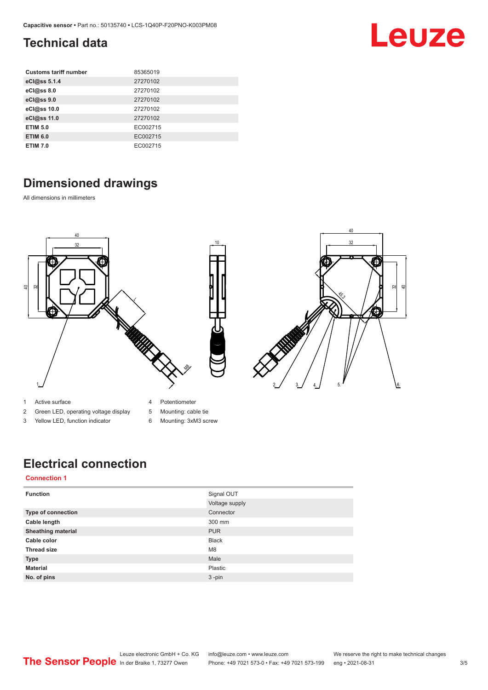### <span id="page-2-0"></span>**Technical data**

| <b>Customs tariff number</b> | 85365019 |
|------------------------------|----------|
| eCl@ss 5.1.4                 | 27270102 |
| eCl@ss 8.0                   | 27270102 |
| eCl@ss 9.0                   | 27270102 |
| eCl@ss 10.0                  | 27270102 |
| eCl@ss 11.0                  | 27270102 |
| <b>ETIM 5.0</b>              | EC002715 |
| <b>ETIM 6.0</b>              | EC002715 |
| <b>ETIM 7.0</b>              | EC002715 |

### **Dimensioned drawings**

All dimensions in millimeters



- 1 Active surface
- 4 Potentiometer
- 2 Green LED, operating voltage display 3 Yellow LED, function indicator
- 5 Mounting: cable tie
- 6 Mounting: 3xM3 screw

### **Electrical connection**

#### **Connection 1**

| <b>Function</b>           | Signal OUT     |
|---------------------------|----------------|
|                           | Voltage supply |
| Type of connection        | Connector      |
| Cable length              | 300 mm         |
| <b>Sheathing material</b> | <b>PUR</b>     |
| Cable color               | <b>Black</b>   |
| <b>Thread size</b>        | M <sub>8</sub> |
| <b>Type</b>               | Male           |
| <b>Material</b>           | Plastic        |
| No. of pins               | $3 - pin$      |

#### Leuze electronic GmbH + Co. KG info@leuze.com • www.leuze.com We reserve the right to make technical changes<br>
The Sensor People in der Braike 1, 73277 Owen Phone: +49 7021 573-0 • Fax: +49 7021 573-199 eng • 2021-08-31 Phone: +49 7021 573-0 • Fax: +49 7021 573-199 eng • 2021-08-31 3/5

Leuze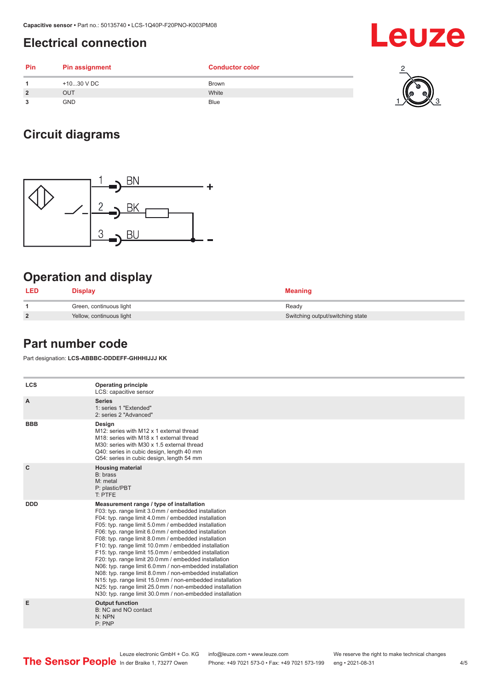#### <span id="page-3-0"></span>**Electrical connection**

| Pin            | <b>Pin assignment</b> | <b>Conductor color</b> |          |
|----------------|-----------------------|------------------------|----------|
|                | +1030 V DC            | <b>Brown</b>           |          |
| $\overline{2}$ | OUT                   | White                  | W<br>RI. |
| 3              | <b>GND</b>            | <b>Blue</b>            | $\sim$   |

### **Circuit diagrams**



### **Operation and display**

| <b>LED</b> | Display                  | <b>Meaning</b>                   |
|------------|--------------------------|----------------------------------|
|            | Green, continuous light  | Ready                            |
| <u>?</u>   | Yellow, continuous light | Switching output/switching state |

#### **Part number code**

Part designation: **LCS-ABBBC-DDDEFF-GHHHIJJJ KK**

| <b>LCS</b>   | <b>Operating principle</b><br>LCS: capacitive sensor                                                                                                                                                                                                                                                                                                                                                                                                                                                                                                                                                                                                                                                                                                                                                                       |
|--------------|----------------------------------------------------------------------------------------------------------------------------------------------------------------------------------------------------------------------------------------------------------------------------------------------------------------------------------------------------------------------------------------------------------------------------------------------------------------------------------------------------------------------------------------------------------------------------------------------------------------------------------------------------------------------------------------------------------------------------------------------------------------------------------------------------------------------------|
| A            | <b>Series</b><br>1: series 1 "Extended"<br>2: series 2 "Advanced"                                                                                                                                                                                                                                                                                                                                                                                                                                                                                                                                                                                                                                                                                                                                                          |
| <b>BBB</b>   | Design<br>M12: series with M12 x 1 external thread<br>M <sub>18</sub> : series with M <sub>18</sub> x 1 external thread<br>M30: series with M30 x 1.5 external thread<br>Q40: series in cubic design, length 40 mm<br>Q54: series in cubic design, length 54 mm                                                                                                                                                                                                                                                                                                                                                                                                                                                                                                                                                            |
| $\mathbf{C}$ | <b>Housing material</b><br>B: brass<br>M: metal<br>P: plastic/PBT<br>T: PTFE                                                                                                                                                                                                                                                                                                                                                                                                                                                                                                                                                                                                                                                                                                                                               |
| <b>DDD</b>   | Measurement range / type of installation<br>F03: typ. range limit 3.0 mm / embedded installation<br>F04: typ. range limit 4.0 mm / embedded installation<br>F05: typ. range limit 5.0 mm / embedded installation<br>F06: typ. range limit 6.0 mm / embedded installation<br>F08: typ. range limit 8.0 mm / embedded installation<br>F10: typ. range limit 10.0 mm / embedded installation<br>F15: typ. range limit 15.0 mm / embedded installation<br>F20: typ. range limit 20.0 mm / embedded installation<br>N06: typ. range limit 6.0 mm / non-embedded installation<br>N08: typ. range limit 8.0 mm / non-embedded installation<br>N15: typ. range limit 15.0 mm / non-embedded installation<br>N25: typ. range limit 25.0 mm / non-embedded installation<br>N30: typ. range limit 30.0 mm / non-embedded installation |
| Е            | <b>Output function</b><br>B: NC and NO contact<br>N: NPN<br>P: PNP                                                                                                                                                                                                                                                                                                                                                                                                                                                                                                                                                                                                                                                                                                                                                         |
|              |                                                                                                                                                                                                                                                                                                                                                                                                                                                                                                                                                                                                                                                                                                                                                                                                                            |

Leuze